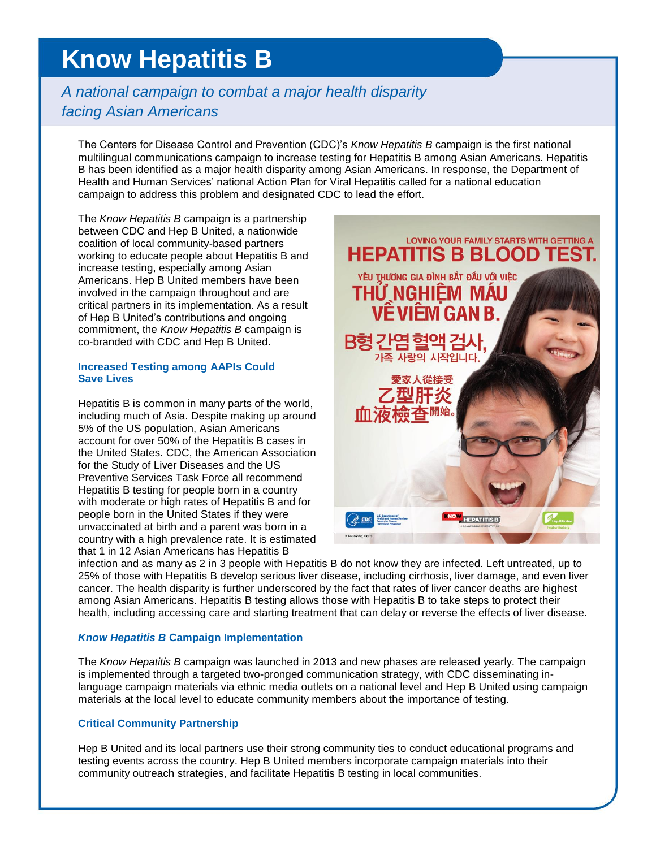# **Know Hepatitis B**

# *A national campaign to combat a major health disparity facing Asian Americans*

The Centers for Disease Control and Prevention (CDC)'s *Know Hepatitis B* campaign is the first national multilingual communications campaign to increase testing for Hepatitis B among Asian Americans. Hepatitis B has been identified as a major health disparity among Asian Americans. In response, the Department of Health and Human Services' national Action Plan for Viral Hepatitis called for a national education campaign to address this problem and designated CDC to lead the effort.

The *Know Hepatitis B* campaign is a partnership between CDC and Hep B United, a nationwide coalition of local community-based partners working to educate people about Hepatitis B and increase testing, especially among Asian Americans. Hep B United members have been involved in the campaign throughout and are critical partners in its implementation. As a result of Hep B United's contributions and ongoing commitment, the *Know Hepatitis B* campaign is co-branded with CDC and Hep B United.

### **Increased Testing among AAPIs Could Save Lives**

Hepatitis B is common in many parts of the world, including much of Asia. Despite making up around 5% of the US population, Asian Americans account for over 50% of the Hepatitis B cases in the United States. CDC, the American Association for the Study of Liver Diseases and the US Preventive Services Task Force all recommend Hepatitis B testing for people born in a country with moderate or high rates of Hepatitis B and for people born in the United States if they were unvaccinated at birth and a parent was born in a country with a high prevalence rate. It is estimated that 1 in 12 Asian Americans has Hepatitis B



infection and as many as 2 in 3 people with Hepatitis B do not know they are infected. Left untreated, up to 25% of those with Hepatitis B develop serious liver disease, including cirrhosis, liver damage, and even liver cancer. The health disparity is further underscored by the fact that rates of liver cancer deaths are highest among Asian Americans. Hepatitis B testing allows those with Hepatitis B to take steps to protect their health, including accessing care and starting treatment that can delay or reverse the effects of liver disease.

# *Know Hepatitis B* **Campaign Implementation**

The *Know Hepatitis B* campaign was launched in 2013 and new phases are released yearly. The campaign is implemented through a targeted two-pronged communication strategy, with CDC disseminating inlanguage campaign materials via ethnic media outlets on a national level and Hep B United using campaign materials at the local level to educate community members about the importance of testing.

# **Critical Community Partnership**

Hep B United and its local partners use their strong community ties to conduct educational programs and testing events across the country. Hep B United members incorporate campaign materials into their community outreach strategies, and facilitate Hepatitis B testing in local communities.